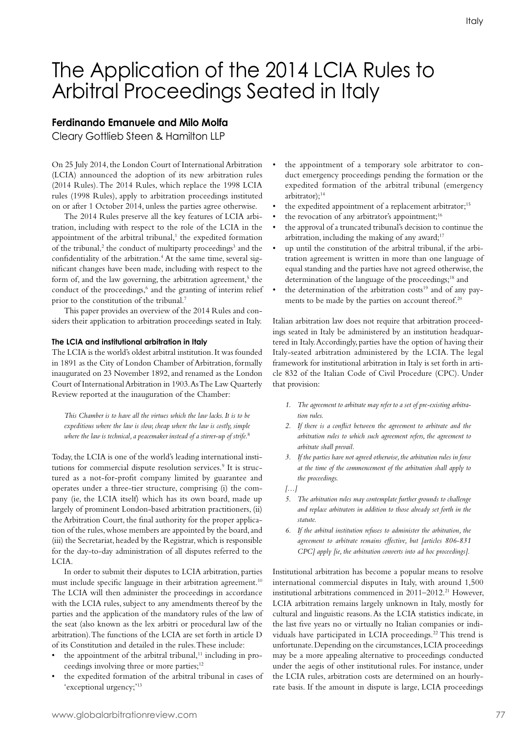# The Application of the 2014 LCIA Rules to Arbitral Proceedings Seated in Italy

## **Ferdinando Emanuele and Milo Molfa**

Cleary Gottlieb Steen & Hamilton LLP

On 25 July 2014, the London Court of International Arbitration (LCIA) announced the adoption of its new arbitration rules (2014 Rules). The 2014 Rules, which replace the 1998 LCIA rules (1998 Rules), apply to arbitration proceedings instituted on or after 1 October 2014, unless the parties agree otherwise.

The 2014 Rules preserve all the key features of LCIA arbitration, including with respect to the role of the LCIA in the appointment of the arbitral tribunal, $<sup>1</sup>$  the expedited formation</sup> of the tribunal,<sup>2</sup> the conduct of multiparty proceedings<sup>3</sup> and the confidentiality of the arbitration.<sup>4</sup> At the same time, several significant changes have been made, including with respect to the form of, and the law governing, the arbitration agreement,<sup>5</sup> the conduct of the proceedings,<sup>6</sup> and the granting of interim relief prior to the constitution of the tribunal.7

This paper provides an overview of the 2014 Rules and considers their application to arbitration proceedings seated in Italy.

#### **The LCIA and institutional arbitration in Italy**

The LCIA is the world's oldest arbitral institution. It was founded in 1891 as the City of London Chamber of Arbitration, formally inaugurated on 23 November 1892, and renamed as the London Court of International Arbitration in 1903. As The Law Quarterly Review reported at the inauguration of the Chamber:

*This Chamber is to have all the virtues which the law lacks. It is to be expeditious where the law is slow, cheap where the law is costly, simple where the law is technical, a peacemaker instead of a stirrer-up of strife.*<sup>8</sup>

Today, the LCIA is one of the world's leading international institutions for commercial dispute resolution services.<sup>9</sup> It is structured as a not-for-profit company limited by guarantee and operates under a three-tier structure, comprising (i) the company (ie, the LCIA itself) which has its own board, made up largely of prominent London-based arbitration practitioners, (ii) the Arbitration Court, the final authority for the proper application of the rules, whose members are appointed by the board, and (iii) the Secretariat, headed by the Registrar, which is responsible for the day-to-day administration of all disputes referred to the LCIA.

In order to submit their disputes to LCIA arbitration, parties must include specific language in their arbitration agreement.<sup>10</sup> The LCIA will then administer the proceedings in accordance with the LCIA rules, subject to any amendments thereof by the parties and the application of the mandatory rules of the law of the seat (also known as the lex arbitri or procedural law of the arbitration). The functions of the LCIA are set forth in article D of its Constitution and detailed in the rules. These include:

- the appointment of the arbitral tribunal, $11$  including in proceedings involving three or more parties;<sup>12</sup>
- the expedited formation of the arbitral tribunal in cases of 'exceptional urgency;'13
- the appointment of a temporary sole arbitrator to conduct emergency proceedings pending the formation or the expedited formation of the arbitral tribunal (emergency arbitrator);<sup>14</sup>
- the expedited appointment of a replacement arbitrator;<sup>15</sup>
- the revocation of any arbitrator's appointment; $^{16}$
- the approval of a truncated tribunal's decision to continue the arbitration, including the making of any award;<sup>17</sup>
- up until the constitution of the arbitral tribunal, if the arbitration agreement is written in more than one language of equal standing and the parties have not agreed otherwise, the determination of the language of the proceedings;<sup>18</sup> and
- the determination of the arbitration  $costs<sup>19</sup>$  and of any payments to be made by the parties on account thereof.<sup>20</sup>

Italian arbitration law does not require that arbitration proceedings seated in Italy be administered by an institution headquartered in Italy. Accordingly, parties have the option of having their Italy-seated arbitration administered by the LCIA. The legal framework for institutional arbitration in Italy is set forth in article 832 of the Italian Code of Civil Procedure (CPC). Under that provision:

- *1. The agreement to arbitrate may refer to a set of pre-existing arbitration rules.*
- *2. If there is a conflict between the agreement to arbitrate and the arbitration rules to which such agreement refers, the agreement to arbitrate shall prevail.*
- *3. If the parties have not agreed otherwise, the arbitration rules in force at the time of the commencement of the arbitration shall apply to the proceedings.*
- *[…]*
- *5. The arbitration rules may contemplate further grounds to challenge and replace arbitrators in addition to those already set forth in the statute.*
- *6. If the arbitral institution refuses to administer the arbitration, the agreement to arbitrate remains effective, but [articles 806-831 CPC] apply [ie, the arbitration converts into ad hoc proceedings].*

Institutional arbitration has become a popular means to resolve international commercial disputes in Italy, with around 1,500 institutional arbitrations commenced in  $2011-2012$ .<sup>21</sup> However, LCIA arbitration remains largely unknown in Italy, mostly for cultural and linguistic reasons. As the LCIA statistics indicate, in the last five years no or virtually no Italian companies or individuals have participated in LCIA proceedings.<sup>22</sup> This trend is unfortunate. Depending on the circumstances, LCIA proceedings may be a more appealing alternative to proceedings conducted under the aegis of other institutional rules. For instance, under the LCIA rules, arbitration costs are determined on an hourlyrate basis. If the amount in dispute is large, LCIA proceedings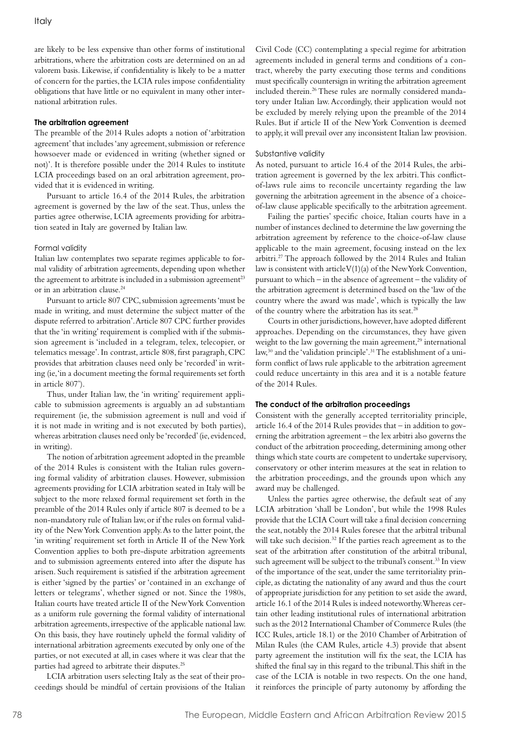are likely to be less expensive than other forms of institutional arbitrations, where the arbitration costs are determined on an ad valorem basis. Likewise, if confidentiality is likely to be a matter of concern for the parties, the LCIA rules impose confidentiality obligations that have little or no equivalent in many other international arbitration rules.

#### **The arbitration agreement**

The preamble of the 2014 Rules adopts a notion of 'arbitration agreement' that includes 'any agreement, submission or reference howsoever made or evidenced in writing (whether signed or not)'. It is therefore possible under the 2014 Rules to institute LCIA proceedings based on an oral arbitration agreement, provided that it is evidenced in writing.

Pursuant to article 16.4 of the 2014 Rules, the arbitration agreement is governed by the law of the seat. Thus, unless the parties agree otherwise, LCIA agreements providing for arbitration seated in Italy are governed by Italian law.

#### Formal validity

Italian law contemplates two separate regimes applicable to formal validity of arbitration agreements, depending upon whether the agreement to arbitrate is included in a submission agreement<sup>23</sup> or in an arbitration clause.<sup>24</sup>

Pursuant to article 807 CPC, submission agreements 'must be made in writing, and must determine the subject matter of the dispute referred to arbitration'. Article 807 CPC further provides that the 'in writing' requirement is complied with if the submission agreement is 'included in a telegram, telex, telecopier, or telematics message'. In contrast, article 808, first paragraph, CPC provides that arbitration clauses need only be 'recorded' in writing (ie, 'in a document meeting the formal requirements set forth in article 807').

Thus, under Italian law, the 'in writing' requirement applicable to submission agreements is arguably an ad substantiam requirement (ie, the submission agreement is null and void if it is not made in writing and is not executed by both parties), whereas arbitration clauses need only be 'recorded' (ie, evidenced, in writing).

The notion of arbitration agreement adopted in the preamble of the 2014 Rules is consistent with the Italian rules governing formal validity of arbitration clauses. However, submission agreements providing for LCIA arbitration seated in Italy will be subject to the more relaxed formal requirement set forth in the preamble of the 2014 Rules only if article 807 is deemed to be a non-mandatory rule of Italian law, or if the rules on formal validity of the New York Convention apply. As to the latter point, the 'in writing' requirement set forth in Article II of the New York Convention applies to both pre-dispute arbitration agreements and to submission agreements entered into after the dispute has arisen. Such requirement is satisfied if the arbitration agreement is either 'signed by the parties' or 'contained in an exchange of letters or telegrams', whether signed or not. Since the 1980s, Italian courts have treated article II of the New York Convention as a uniform rule governing the formal validity of international arbitration agreements, irrespective of the applicable national law. On this basis, they have routinely upheld the formal validity of international arbitration agreements executed by only one of the parties, or not executed at all, in cases where it was clear that the parties had agreed to arbitrate their disputes.25

LCIA arbitration users selecting Italy as the seat of their proceedings should be mindful of certain provisions of the Italian

Civil Code (CC) contemplating a special regime for arbitration agreements included in general terms and conditions of a contract, whereby the party executing those terms and conditions must specifically countersign in writing the arbitration agreement included therein.26 These rules are normally considered mandatory under Italian law. Accordingly, their application would not be excluded by merely relying upon the preamble of the 2014 Rules. But if article II of the New York Convention is deemed to apply, it will prevail over any inconsistent Italian law provision.

#### Substantive validity

As noted, pursuant to article 16.4 of the 2014 Rules, the arbitration agreement is governed by the lex arbitri. This conflictof-laws rule aims to reconcile uncertainty regarding the law governing the arbitration agreement in the absence of a choiceof-law clause applicable specifically to the arbitration agreement.

Failing the parties' specific choice, Italian courts have in a number of instances declined to determine the law governing the arbitration agreement by reference to the choice-of-law clause applicable to the main agreement, focusing instead on the lex arbitri.27 The approach followed by the 2014 Rules and Italian law is consistent with article V(1)(a) of the New York Convention, pursuant to which – in the absence of agreement – the validity of the arbitration agreement is determined based on the 'law of the country where the award was made', which is typically the law of the country where the arbitration has its seat.28

Courts in other jurisdictions, however, have adopted different approaches. Depending on the circumstances, they have given weight to the law governing the main agreement,<sup>29</sup> international law,<sup>30</sup> and the 'validation principle'.<sup>31</sup> The establishment of a uniform conflict of laws rule applicable to the arbitration agreement could reduce uncertainty in this area and it is a notable feature of the 2014 Rules.

#### **The conduct of the arbitration proceedings**

Consistent with the generally accepted territoriality principle, article 16.4 of the 2014 Rules provides that – in addition to governing the arbitration agreement – the lex arbitri also governs the conduct of the arbitration proceeding, determining among other things which state courts are competent to undertake supervisory, conservatory or other interim measures at the seat in relation to the arbitration proceedings, and the grounds upon which any award may be challenged.

Unless the parties agree otherwise, the default seat of any LCIA arbitration 'shall be London', but while the 1998 Rules provide that the LCIA Court will take a final decision concerning the seat, notably the 2014 Rules foresee that the arbitral tribunal will take such decision.<sup>32</sup> If the parties reach agreement as to the seat of the arbitration after constitution of the arbitral tribunal, such agreement will be subject to the tribunal's consent.<sup>33</sup> In view of the importance of the seat, under the same territoriality principle, as dictating the nationality of any award and thus the court of appropriate jurisdiction for any petition to set aside the award, article 16.1 of the 2014 Rules is indeed noteworthy. Whereas certain other leading institutional rules of international arbitration such as the 2012 International Chamber of Commerce Rules (the ICC Rules, article 18.1) or the 2010 Chamber of Arbitration of Milan Rules (the CAM Rules, article 4.3) provide that absent party agreement the institution will fix the seat, the LCIA has shifted the final say in this regard to the tribunal. This shift in the case of the LCIA is notable in two respects. On the one hand, it reinforces the principle of party autonomy by affording the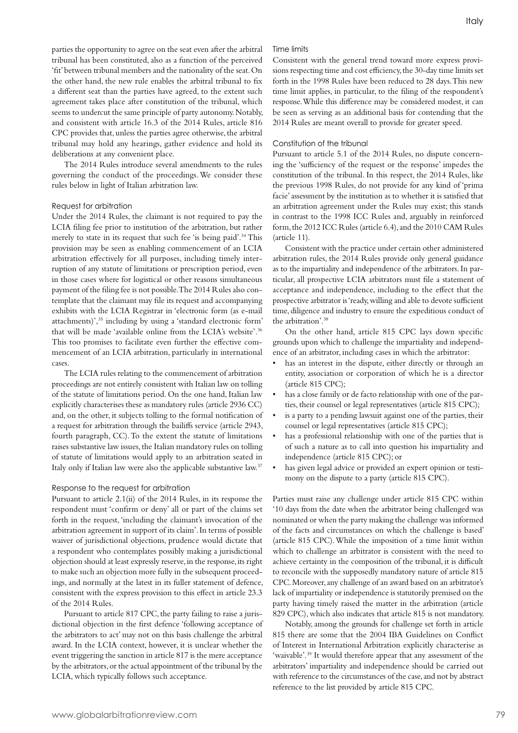parties the opportunity to agree on the seat even after the arbitral tribunal has been constituted, also as a function of the perceived 'fit' between tribunal members and the nationality of the seat. On the other hand, the new rule enables the arbitral tribunal to fix a different seat than the parties have agreed, to the extent such agreement takes place after constitution of the tribunal, which seems to undercut the same principle of party autonomy. Notably, and consistent with article 16.3 of the 2014 Rules, article 816 CPC provides that, unless the parties agree otherwise, the arbitral tribunal may hold any hearings, gather evidence and hold its deliberations at any convenient place.

The 2014 Rules introduce several amendments to the rules governing the conduct of the proceedings. We consider these rules below in light of Italian arbitration law.

## Request for arbitration

Under the 2014 Rules, the claimant is not required to pay the LCIA filing fee prior to institution of the arbitration, but rather merely to state in its request that such fee 'is being paid'.<sup>34</sup> This provision may be seen as enabling commencement of an LCIA arbitration effectively for all purposes, including timely interruption of any statute of limitations or prescription period, even in those cases where for logistical or other reasons simultaneous payment of the filing fee is not possible. The 2014 Rules also contemplate that the claimant may file its request and accompanying exhibits with the LCIA Registrar in 'electronic form (as e-mail attachments)',35 including by using a 'standard electronic form' that will be made 'available online from the LCIA's website'.36 This too promises to facilitate even further the effective commencement of an LCIA arbitration, particularly in international cases.

The LCIA rules relating to the commencement of arbitration proceedings are not entirely consistent with Italian law on tolling of the statute of limitations period. On the one hand, Italian law explicitly characterises these as mandatory rules (article 2936 CC) and, on the other, it subjects tolling to the formal notification of a request for arbitration through the bailiffs service (article 2943, fourth paragraph, CC). To the extent the statute of limitations raises substantive law issues, the Italian mandatory rules on tolling of statute of limitations would apply to an arbitration seated in Italy only if Italian law were also the applicable substantive law.37

#### Response to the request for arbitration

Pursuant to article 2.1(ii) of the 2014 Rules, in its response the respondent must 'confirm or deny' all or part of the claims set forth in the request, 'including the claimant's invocation of the arbitration agreement in support of its claim'. In terms of possible waiver of jurisdictional objections, prudence would dictate that a respondent who contemplates possibly making a jurisdictional objection should at least expressly reserve, in the response, its right to make such an objection more fully in the subsequent proceedings, and normally at the latest in its fuller statement of defence, consistent with the express provision to this effect in article 23.3 of the 2014 Rules.

Pursuant to article 817 CPC, the party failing to raise a jurisdictional objection in the first defence 'following acceptance of the arbitrators to act' may not on this basis challenge the arbitral award. In the LCIA context, however, it is unclear whether the event triggering the sanction in article 817 is the mere acceptance by the arbitrators, or the actual appointment of the tribunal by the LCIA, which typically follows such acceptance.

## Time limits

Consistent with the general trend toward more express provisions respecting time and cost efficiency, the 30-day time limits set forth in the 1998 Rules have been reduced to 28 days. This new time limit applies, in particular, to the filing of the respondent's response. While this difference may be considered modest, it can be seen as serving as an additional basis for contending that the 2014 Rules are meant overall to provide for greater speed.

#### Constitution of the tribunal

Pursuant to article 5.1 of the 2014 Rules, no dispute concerning the 'sufficiency of the request or the response' impedes the constitution of the tribunal. In this respect, the 2014 Rules, like the previous 1998 Rules, do not provide for any kind of 'prima facie' assessment by the institution as to whether it is satisfied that an arbitration agreement under the Rules may exist; this stands in contrast to the 1998 ICC Rules and, arguably in reinforced form, the 2012 ICC Rules (article 6.4), and the 2010 CAM Rules (article 11).

Consistent with the practice under certain other administered arbitration rules, the 2014 Rules provide only general guidance as to the impartiality and independence of the arbitrators. In particular, all prospective LCIA arbitrators must file a statement of acceptance and independence, including to the effect that the prospective arbitrator is 'ready, willing and able to devote sufficient time, diligence and industry to ensure the expeditious conduct of the arbitration'.38

On the other hand, article 815 CPC lays down specific grounds upon which to challenge the impartiality and independence of an arbitrator, including cases in which the arbitrator:

- has an interest in the dispute, either directly or through an entity, association or corporation of which he is a director (article 815 CPC);
- has a close family or de facto relationship with one of the parties, their counsel or legal representatives (article 815 CPC);
- is a party to a pending lawsuit against one of the parties, their counsel or legal representatives (article 815 CPC);
- has a professional relationship with one of the parties that is of such a nature as to call into question his impartiality and independence (article 815 CPC); or
- has given legal advice or provided an expert opinion or testimony on the dispute to a party (article 815 CPC).

Parties must raise any challenge under article 815 CPC within '10 days from the date when the arbitrator being challenged was nominated or when the party making the challenge was informed of the facts and circumstances on which the challenge is based' (article 815 CPC). While the imposition of a time limit within which to challenge an arbitrator is consistent with the need to achieve certainty in the composition of the tribunal, it is difficult to reconcile with the supposedly mandatory nature of article 815 CPC. Moreover, any challenge of an award based on an arbitrator's lack of impartiality or independence is statutorily premised on the party having timely raised the matter in the arbitration (article 829 CPC), which also indicates that article 815 is not mandatory.

Notably, among the grounds for challenge set forth in article 815 there are some that the 2004 IBA Guidelines on Conflict of Interest in International Arbitration explicitly characterise as 'waivable'.39 It would therefore appear that any assessment of the arbitrators' impartiality and independence should be carried out with reference to the circumstances of the case, and not by abstract reference to the list provided by article 815 CPC.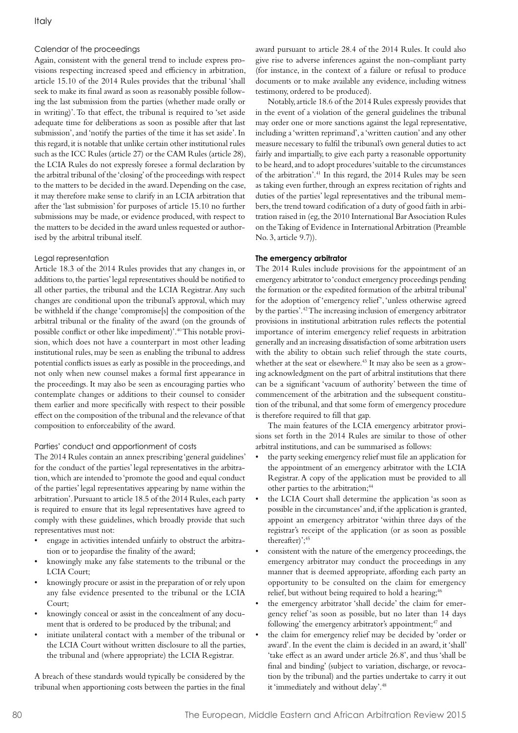## Calendar of the proceedings

Again, consistent with the general trend to include express provisions respecting increased speed and efficiency in arbitration, article 15.10 of the 2014 Rules provides that the tribunal 'shall seek to make its final award as soon as reasonably possible following the last submission from the parties (whether made orally or in writing)'. To that effect, the tribunal is required to 'set aside adequate time for deliberations as soon as possible after that last submission', and 'notify the parties of the time it has set aside'. In this regard, it is notable that unlike certain other institutional rules such as the ICC Rules (article 27) or the CAM Rules (article 28), the LCIA Rules do not expressly foresee a formal declaration by the arbitral tribunal of the 'closing' of the proceedings with respect to the matters to be decided in the award. Depending on the case, it may therefore make sense to clarify in an LCIA arbitration that after the 'last submission' for purposes of article 15.10 no further submissions may be made, or evidence produced, with respect to the matters to be decided in the award unless requested or authorised by the arbitral tribunal itself.

## Legal representation

Article 18.3 of the 2014 Rules provides that any changes in, or additions to, the parties' legal representatives should be notified to all other parties, the tribunal and the LCIA Registrar. Any such changes are conditional upon the tribunal's approval, which may be withheld if the change 'compromise[s] the composition of the arbitral tribunal or the finality of the award (on the grounds of possible conflict or other like impediment)'.40 This notable provision, which does not have a counterpart in most other leading institutional rules, may be seen as enabling the tribunal to address potential conflicts issues as early as possible in the proceedings, and not only when new counsel makes a formal first appearance in the proceedings. It may also be seen as encouraging parties who contemplate changes or additions to their counsel to consider them earlier and more specifically with respect to their possible effect on the composition of the tribunal and the relevance of that composition to enforceability of the award.

## Parties' conduct and apportionment of costs

The 2014 Rules contain an annex prescribing 'general guidelines' for the conduct of the parties' legal representatives in the arbitration, which are intended to 'promote the good and equal conduct of the parties' legal representatives appearing by name within the arbitration'. Pursuant to article 18.5 of the 2014 Rules, each party is required to ensure that its legal representatives have agreed to comply with these guidelines, which broadly provide that such representatives must not:

- engage in activities intended unfairly to obstruct the arbitration or to jeopardise the finality of the award;
- knowingly make any false statements to the tribunal or the LCIA Court;
- knowingly procure or assist in the preparation of or rely upon any false evidence presented to the tribunal or the LCIA Court;
- knowingly conceal or assist in the concealment of any document that is ordered to be produced by the tribunal; and
- initiate unilateral contact with a member of the tribunal or the LCIA Court without written disclosure to all the parties, the tribunal and (where appropriate) the LCIA Registrar.

A breach of these standards would typically be considered by the tribunal when apportioning costs between the parties in the final award pursuant to article 28.4 of the 2014 Rules. It could also give rise to adverse inferences against the non-compliant party (for instance, in the context of a failure or refusal to produce documents or to make available any evidence, including witness testimony, ordered to be produced).

Notably, article 18.6 of the 2014 Rules expressly provides that in the event of a violation of the general guidelines the tribunal may order one or more sanctions against the legal representative, including a 'written reprimand', a 'written caution' and any other measure necessary to fulfil the tribunal's own general duties to act fairly and impartially, to give each party a reasonable opportunity to be heard, and to adopt procedures 'suitable to the circumstances of the arbitration'.<sup>41</sup> In this regard, the 2014 Rules may be seen as taking even further, through an express recitation of rights and duties of the parties' legal representatives and the tribunal members, the trend toward codification of a duty of good faith in arbitration raised in (eg, the 2010 International Bar Association Rules on the Taking of Evidence in International Arbitration (Preamble No. 3, article 9.7)).

## **The emergency arbitrator**

The 2014 Rules include provisions for the appointment of an emergency arbitrator to 'conduct emergency proceedings pending the formation or the expedited formation of the arbitral tribunal' for the adoption of 'emergency relief', 'unless otherwise agreed by the parties'.42 The increasing inclusion of emergency arbitrator provisions in institutional arbitration rules reflects the potential importance of interim emergency relief requests in arbitration generally and an increasing dissatisfaction of some arbitration users with the ability to obtain such relief through the state courts, whether at the seat or elsewhere.<sup>43</sup> It may also be seen as a growing acknowledgment on the part of arbitral institutions that there can be a significant 'vacuum of authority' between the time of commencement of the arbitration and the subsequent constitution of the tribunal, and that some form of emergency procedure is therefore required to fill that gap.

The main features of the LCIA emergency arbitrator provisions set forth in the 2014 Rules are similar to those of other arbitral institutions, and can be summarised as follows:

- the party seeking emergency relief must file an application for the appointment of an emergency arbitrator with the LCIA Registrar. A copy of the application must be provided to all other parties to the arbitration;<sup>44</sup>
- the LCIA Court shall determine the application 'as soon as possible in the circumstances' and, if the application is granted, appoint an emergency arbitrator 'within three days of the registrar's receipt of the application (or as soon as possible thereafter)';45
- consistent with the nature of the emergency proceedings, the emergency arbitrator may conduct the proceedings in any manner that is deemed appropriate, affording each party an opportunity to be consulted on the claim for emergency relief, but without being required to hold a hearing;<sup>46</sup>
- the emergency arbitrator 'shall decide' the claim for emergency relief 'as soon as possible, but no later than 14 days following' the emergency arbitrator's appointment;<sup>47</sup> and
- the claim for emergency relief may be decided by 'order or award'. In the event the claim is decided in an award, it 'shall' 'take effect as an award under article 26.8', and thus 'shall be final and binding' (subject to variation, discharge, or revocation by the tribunal) and the parties undertake to carry it out it 'immediately and without delay'.48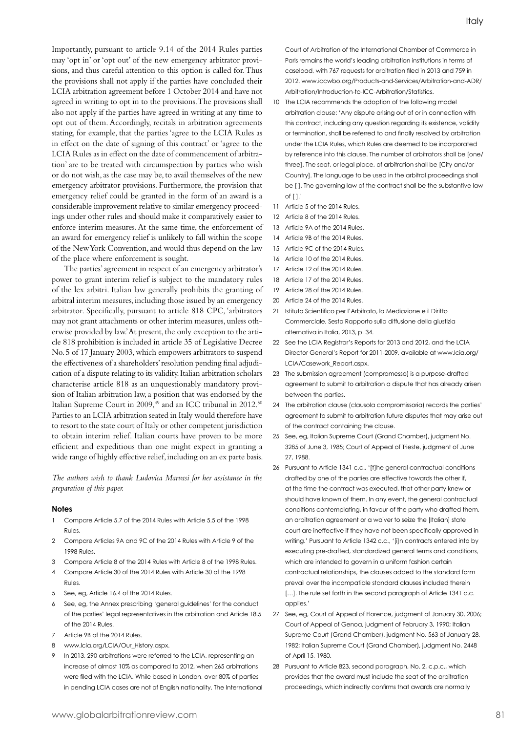Importantly, pursuant to article 9.14 of the 2014 Rules parties may 'opt in' or 'opt out' of the new emergency arbitrator provisions, and thus careful attention to this option is called for. Thus the provisions shall not apply if the parties have concluded their LCIA arbitration agreement before 1 October 2014 and have not agreed in writing to opt in to the provisions. The provisions shall also not apply if the parties have agreed in writing at any time to opt out of them. Accordingly, recitals in arbitration agreements stating, for example, that the parties 'agree to the LCIA Rules as in effect on the date of signing of this contract' or 'agree to the LCIA Rules as in effect on the date of commencement of arbitration' are to be treated with circumspection by parties who wish or do not wish, as the case may be, to avail themselves of the new emergency arbitrator provisions. Furthermore, the provision that emergency relief could be granted in the form of an award is a considerable improvement relative to similar emergency proceedings under other rules and should make it comparatively easier to enforce interim measures. At the same time, the enforcement of an award for emergency relief is unlikely to fall within the scope of the New York Convention, and would thus depend on the law of the place where enforcement is sought.

The parties' agreement in respect of an emergency arbitrator's power to grant interim relief is subject to the mandatory rules of the lex arbitri. Italian law generally prohibits the granting of arbitral interim measures, including those issued by an emergency arbitrator. Specifically, pursuant to article 818 CPC, 'arbitrators may not grant attachments or other interim measures, unless otherwise provided by law.' At present, the only exception to the article 818 prohibition is included in article 35 of Legislative Decree No. 5 of 17 January 2003, which empowers arbitrators to suspend the effectiveness of a shareholders' resolution pending final adjudication of a dispute relating to its validity. Italian arbitration scholars characterise article 818 as an unquestionably mandatory provision of Italian arbitration law, a position that was endorsed by the Italian Supreme Court in 2009,<sup>49</sup> and an ICC tribunal in 2012.<sup>50</sup> Parties to an LCIA arbitration seated in Italy would therefore have to resort to the state court of Italy or other competent jurisdiction to obtain interim relief. Italian courts have proven to be more efficient and expeditious than one might expect in granting a wide range of highly effective relief, including on an ex parte basis.

*The authors wish to thank Ludovica Marvasi for her assistance in the preparation of this paper.*

#### **Notes**

- 1 Compare Article 5.7 of the 2014 Rules with Article 5.5 of the 1998 Rules.
- 2 Compare Articles 9A and 9C of the 2014 Rules with Article 9 of the 1998 Rules.
- 3 Compare Article 8 of the 2014 Rules with Article 8 of the 1998 Rules.
- 4 Compare Article 30 of the 2014 Rules with Article 30 of the 1998 Rules.
- 5 See, eg, Article 16.4 of the 2014 Rules.
- 6 See, eg, the Annex prescribing 'general guidelines' for the conduct of the parties' legal representatives in the arbitration and Article 18.5 of the 2014 Rules.
- 7 Article 9B of the 2014 Rules.
- 8 www.lcia.org/LCIA/Our\_History.aspx.
- 9 In 2013, 290 arbitrations were referred to the LCIA, representing an increase of almost 10% as compared to 2012, when 265 arbitrations were filed with the LCIA. While based in London, over 80% of parties in pending LCIA cases are not of English nationality. The International

Court of Arbitration of the International Chamber of Commerce in Paris remains the world's leading arbitration institutions in terms of caseload, with 767 requests for arbitration filed in 2013 and 759 in 2012. www.iccwbo.org/Products-and-Services/Arbitration-and-ADR/ Arbitration/Introduction-to-ICC-Arbitration/Statistics.

- 10 The LCIA recommends the adoption of the following model arbitration clause: 'Any dispute arising out of or in connection with this contract, including any question regarding its existence, validity or termination, shall be referred to and finally resolved by arbitration under the LCIA Rules, which Rules are deemed to be incorporated by reference into this clause. The number of arbitrators shall be [one/ three]. The seat, or legal place, of arbitration shall be [City and/or Country]. The language to be used in the arbitral proceedings shall be [ ]. The governing law of the contract shall be the substantive law of  $[1]$ .
- 11 Article 5 of the 2014 Rules.
- 12 Article 8 of the 2014 Rules.
- 13 Article 9A of the 2014 Rules.
- 14 Article 9B of the 2014 Rules.
- 15 Article 9C of the 2014 Rules.
- 16 Article 10 of the 2014 Rules.
- 17 Article 12 of the 2014 Rules.
- 18 Article 17 of the 2014 Rules.
- 19 Article 28 of the 2014 Rules.
- 20 Article 24 of the 2014 Rules.
- 21 Istituto Scientifico per l'Arbitrato, la Mediazione e il Diritto Commerciale, Sesto Rapporto sulla diffusione della giustizia alternativa in Italia, 2013, p. 34.
- 22 See the LCIA Registrar's Reports for 2013 and 2012, and the LCIA Director General's Report for 2011-2009, available at www.lcia.org/ LCIA/Casework\_Report.aspx.
- 23 The submission agreement (compromesso) is a purpose-drafted agreement to submit to arbitration a dispute that has already arisen between the parties.
- 24 The arbitration clause (clausola compromissoria) records the parties' agreement to submit to arbitration future disputes that may arise out of the contract containing the clause.
- 25 See, eg, Italian Supreme Court (Grand Chamber), judgment No. 3285 of June 3, 1985; Court of Appeal of Trieste, judgment of June 27, 1988.
- 26 Pursuant to Article 1341 c.c., '[t]he general contractual conditions drafted by one of the parties are effective towards the other if, at the time the contract was executed, that other party knew or should have known of them. In any event, the general contractual conditions contemplating, in favour of the party who drafted them, an arbitration agreement or a waiver to seize the [Italian] state court are ineffective if they have not been specifically approved in writing.' Pursuant to Article 1342 c.c., '[i]n contracts entered into by executing pre-drafted, standardized general terms and conditions, which are intended to govern in a uniform fashion certain contractual relationships, the clauses added to the standard form prevail over the incompatible standard clauses included therein [...]. The rule set forth in the second paragraph of Article 1341 c.c. applies.
- 27 See, eg, Court of Appeal of Florence, judgment of January 30, 2006; Court of Appeal of Genoa, judgment of February 3, 1990; Italian Supreme Court (Grand Chamber), judgment No. 563 of January 28, 1982; Italian Supreme Court (Grand Chamber), judgment No. 2448 of April 15, 1980.
- 28 Pursuant to Article 823, second paragraph, No. 2, c.p.c., which provides that the award must include the seat of the arbitration proceedings, which indirectly confirms that awards are normally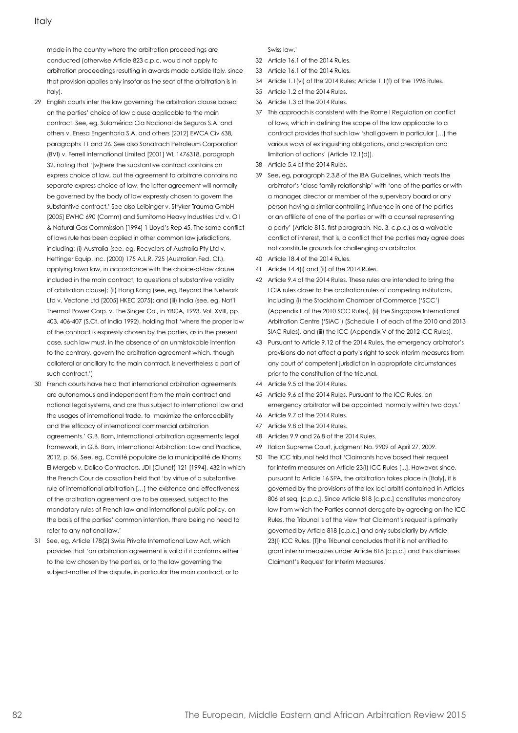made in the country where the arbitration proceedings are conducted (otherwise Article 823 c.p.c. would not apply to arbitration proceedings resulting in awards made outside Italy, since that provision applies only insofar as the seat of the arbitration is in Italy).

- 29 English courts infer the law governing the arbitration clause based on the parties' choice of law clause applicable to the main contract. See, eg, Sulamérica Cia Nacional de Seguros S.A. and others v. Enesa Engenharia S.A. and others [2012] EWCA Civ 638, paragraphs 11 and 26. See also Sonatrach Petroleum Corporation (BVI) v. Ferrell International Limited [2001] WL 1476318, paragraph 32, noting that '[w]here the substantive contract contains an express choice of law, but the agreement to arbitrate contains no separate express choice of law, the latter agreement will normally be governed by the body of law expressly chosen to govern the substantive contract.' See also Leibinger v. Stryker Trauma GmbH [2005] EWHC 690 (Comm) and Sumitomo Heavy Industries Ltd v. Oil & Natural Gas Commission [1994] 1 Lloyd's Rep 45. The same conflict of laws rule has been applied in other common law jurisdictions, including: (i) Australia (see, eg, Recyclers of Australia Pty Ltd v. Hettinger Equip. Inc. (2000) 175 A.L.R. 725 (Australian Fed. Ct.), applying Iowa law, in accordance with the choice-of-law clause included in the main contract, to questions of substantive validity of arbitration clause); (ii) Hong Kong (see, eg, Beyond the Network Ltd v. Vectone Ltd [2005] HKEC 2075); and (iii) India (see, eg, Nat'l Thermal Power Corp. v. The Singer Co., in YBCA, 1993, Vol. XVIII, pp. 403, 406-407 (S.Ct. of India 1992), holding that 'where the proper law of the contract is expressly chosen by the parties, as in the present case, such law must, in the absence of an unmistakable intention to the contrary, govern the arbitration agreement which, though collateral or ancillary to the main contract, is nevertheless a part of such contract.')
- 30 French courts have held that international arbitration agreements are autonomous and independent from the main contract and national legal systems, and are thus subject to international law and the usages of international trade, to 'maximize the enforceability and the efficacy of international commercial arbitration agreements.' G.B. Born, International arbitration agreements: legal framework, in G.B. Born, International Arbitration: Law and Practice, 2012, p. 56. See, eg, Comité populaire de la municipalité de Khoms El Mergeb v. Dalico Contractors, JDI (Clunet) 121 [1994], 432 in which the French Cour de cassation held that 'by virtue of a substantive rule of international arbitration […] the existence and effectiveness of the arbitration agreement are to be assessed, subject to the mandatory rules of French law and international public policy, on the basis of the parties' common intention, there being no need to refer to any national law.'
- 31 See, eg, Article 178(2) Swiss Private International Law Act, which provides that 'an arbitration agreement is valid if it conforms either to the law chosen by the parties, or to the law governing the subject-matter of the dispute, in particular the main contract, or to

Swiss law.'

- 32 Article 16.1 of the 2014 Rules.
- 33 Article 16.1 of the 2014 Rules.
- 34 Article 1.1(vi) of the 2014 Rules; Article 1.1(f) of the 1998 Rules.
- 35 Article 1.2 of the 2014 Rules.
- 36 Article 1.3 of the 2014 Rules.
- 37 This approach is consistent with the Rome I Regulation on conflict of laws, which in defining the scope of the law applicable to a contract provides that such law 'shall govern in particular […] the various ways of extinguishing obligations, and prescription and limitation of actions' (Article 12.1(d)).
- 38 Article 5.4 of the 2014 Rules.
- 39 See, eg, paragraph 2.3.8 of the IBA Guidelines, which treats the arbitrator's 'close family relationship' with 'one of the parties or with a manager, director or member of the supervisory board or any person having a similar controlling influence in one of the parties or an affiliate of one of the parties or with a counsel representing a party' (Article 815, first paragraph, No. 3, c.p.c.) as a waivable conflict of interest, that is, a conflict that the parties may agree does not constitute grounds for challenging an arbitrator.
- 40 Article 18.4 of the 2014 Rules.
- 41 Article 14.4(i) and (ii) of the 2014 Rules.
- 42 Article 9.4 of the 2014 Rules. These rules are intended to bring the LCIA rules closer to the arbitration rules of competing institutions, including (i) the Stockholm Chamber of Commerce ('SCC') (Appendix II of the 2010 SCC Rules), (ii) the Singapore International Arbitration Centre ('SIAC') (Schedule 1 of each of the 2010 and 2013 SIAC Rules), and (iii) the ICC (Appendix V of the 2012 ICC Rules).
- 43 Pursuant to Article 9.12 of the 2014 Rules, the emergency arbitrator's provisions do not affect a party's right to seek interim measures from any court of competent jurisdiction in appropriate circumstances prior to the constitution of the tribunal.
- 44 Article 9.5 of the 2014 Rules.
- 45 Article 9.6 of the 2014 Rules. Pursuant to the ICC Rules, an emergency arbitrator will be appointed 'normally within two days.'
- 46 Article 9.7 of the 2014 Rules.
- 47 Article 9.8 of the 2014 Rules.
- 48 Articles 9.9 and 26.8 of the 2014 Rules.
- 49 Italian Supreme Court, judgment No. 9909 of April 27, 2009.
- 50 The ICC tribunal held that 'Claimants have based their request for interim measures on Article 23(I) ICC Rules [...]. However, since, pursuant to Article 16 SPA, the arbitration takes place in [Italy], it is governed by the provisions of the lex loci arbitri contained in Articles 806 et seq. [c.p.c.]. Since Article 818 [c.p.c.] constitutes mandatory law from which the Parties cannot derogate by agreeing on the ICC Rules, the Tribunal is of the view that Claimant's request is primarily governed by Article 818 [c.p.c.] and only subsidiarily by Article 23(I) ICC Rules. [T]he Tribunal concludes that it is not entitled to grant interim measures under Article 818 [c.p.c.] and thus dismisses Claimant's Request for Interim Measures.'